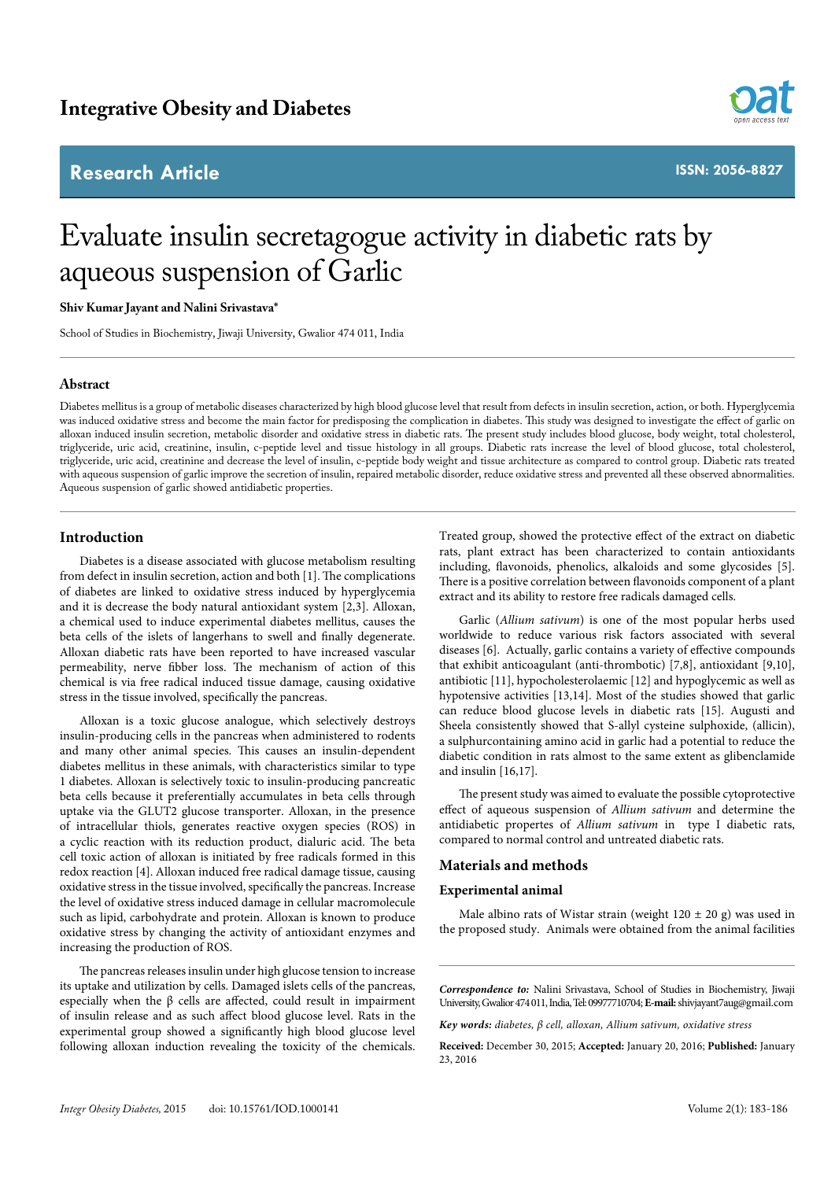# **Research Article**



**ISSN: 2056-8827**

# Evaluate insulin secretagogue activity in diabetic rats by aqueous suspension of Garlic

#### **Shiv Kumar Jayant and Nalini Srivastava\***

School of Studies in Biochemistry, Jiwaji University, Gwalior 474 011, India

# **Abstract**

Diabetes mellitus is a group of metabolic diseases characterized by high blood glucose level that result from defects in insulin secretion, action, or both. Hyperglycemia was induced oxidative stress and become the main factor for predisposing the complication in diabetes. This study was designed to investigate the effect of garlic on alloxan induced insulin secretion, metabolic disorder and oxidative stress in diabetic rats. The present study includes blood glucose, body weight, total cholesterol, triglyceride, uric acid, creatinine, insulin, c-peptide level and tissue histology in all groups. Diabetic rats increase the level of blood glucose, total cholesterol, triglyceride, uric acid, creatinine and decrease the level of insulin, c-peptide body weight and tissue architecture as compared to control group. Diabetic rats treated with aqueous suspension of garlic improve the secretion of insulin, repaired metabolic disorder, reduce oxidative stress and prevented all these observed abnormalities. Aqueous suspension of garlic showed antidiabetic properties.

# **Introduction**

Diabetes is a disease associated with glucose metabolism resulting from defect in insulin secretion, action and both [1]. The complications of diabetes are linked to oxidative stress induced by hyperglycemia and it is decrease the body natural antioxidant system [2,3]. Alloxan, a chemical used to induce experimental diabetes mellitus, causes the beta cells of the islets of langerhans to swell and finally degenerate. Alloxan diabetic rats have been reported to have increased vascular permeability, nerve fibber loss. The mechanism of action of this chemical is via free radical induced tissue damage, causing oxidative stress in the tissue involved, specifically the pancreas.

Alloxan is a toxic glucose analogue, which selectively destroys insulin-producing cells in the pancreas when administered to rodents and many other animal species. This causes an insulin-dependent diabetes mellitus in these animals, with characteristics similar to type 1 diabetes. Alloxan is selectively toxic to insulin-producing pancreatic beta cells because it preferentially accumulates in beta cells through uptake via the GLUT2 glucose transporter. Alloxan, in the presence of intracellular thiols, generates reactive oxygen species (ROS) in a cyclic reaction with its reduction product, dialuric acid. The beta cell toxic action of alloxan is initiated by free radicals formed in this redox reaction [4]. Alloxan induced free radical damage tissue, causing oxidative stress in the tissue involved, specifically the pancreas. Increase the level of oxidative stress induced damage in cellular macromolecule such as lipid, carbohydrate and protein. Alloxan is known to produce oxidative stress by changing the activity of antioxidant enzymes and increasing the production of ROS.

The pancreas releases insulin under high glucose tension to increase its uptake and utilization by cells. Damaged islets cells of the pancreas, especially when the β cells are affected, could result in impairment of insulin release and as such affect blood glucose level. Rats in the experimental group showed a significantly high blood glucose level following alloxan induction revealing the toxicity of the chemicals. Treated group, showed the protective effect of the extract on diabetic rats, plant extract has been characterized to contain antioxidants including, flavonoids, phenolics, alkaloids and some glycosides [5]. There is a positive correlation between flavonoids component of a plant extract and its ability to restore free radicals damaged cells.

Garlic (*Allium sativum*) is one of the most popular herbs used worldwide to reduce various risk factors associated with several diseases [6]. Actually, garlic contains a variety of effective compounds that exhibit anticoagulant (anti-thrombotic) [7,8], antioxidant [9,10], antibiotic [11], hypocholesterolaemic [12] and hypoglycemic as well as hypotensive activities [13,14]. Most of the studies showed that garlic can reduce blood glucose levels in diabetic rats [15]. Augusti and Sheela consistently showed that S-allyl cysteine sulphoxide, (allicin), a sulphurcontaining amino acid in garlic had a potential to reduce the diabetic condition in rats almost to the same extent as glibenclamide and insulin [16,17].

The present study was aimed to evaluate the possible cytoprotective effect of aqueous suspension of *Allium sativum* and determine the antidiabetic propertes of *Allium sativum* in type I diabetic rats, compared to normal control and untreated diabetic rats.

# **Materials and methods**

#### **Experimental animal**

Male albino rats of Wistar strain (weight  $120 \pm 20$  g) was used in the proposed study. Animals were obtained from the animal facilities

*Correspondence to:* Nalini Srivastava, School of Studies in Biochemistry, Jiwaji University, Gwalior 474 011, India, Tel: 09977710704; **E-mail:** shivjayant7aug@gmail.com

*Key words: diabetes, β cell, alloxan, Allium sativum, oxidative stress*

**Received:** December 30, 2015; **Accepted:** January 20, 2016; **Published:** January 23, 2016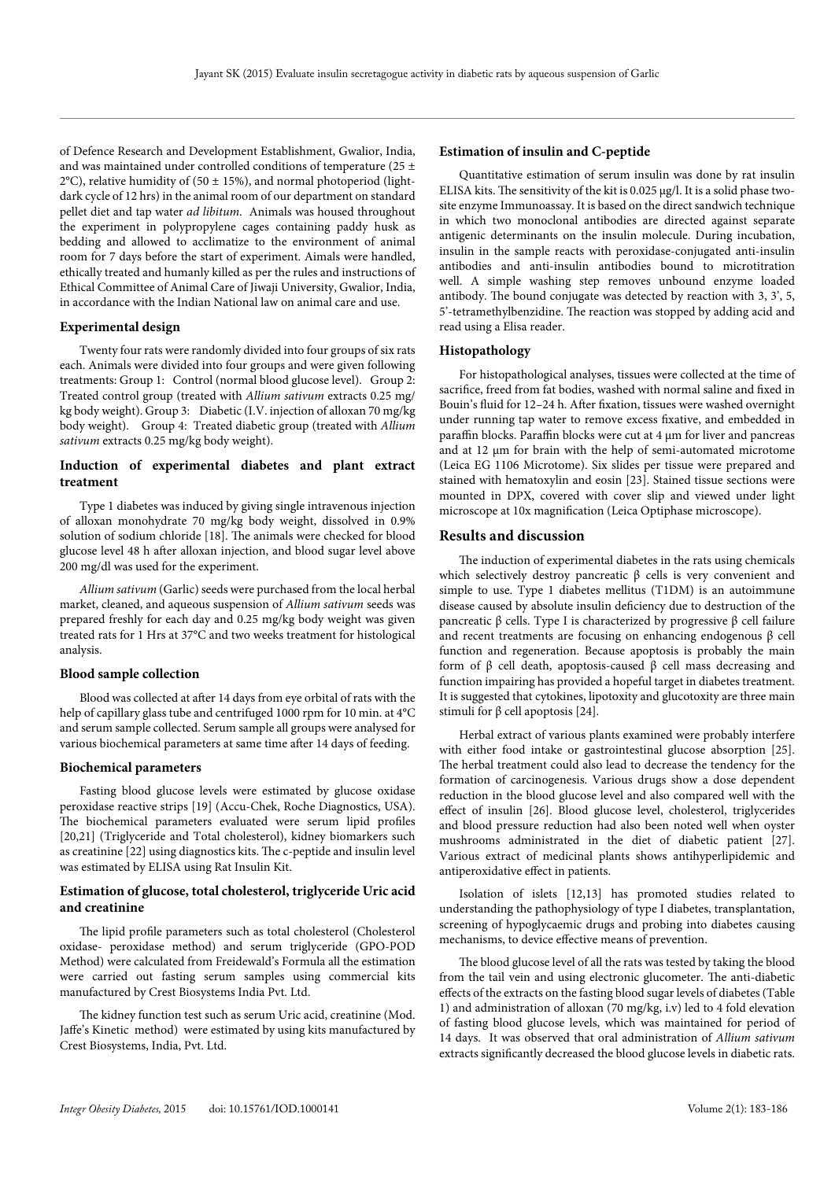of Defence Research and Development Establishment, Gwalior, India, and was maintained under controlled conditions of temperature (25  $\pm$  $2^{\circ}$ C), relative humidity of (50  $\pm$  15%), and normal photoperiod (lightdark cycle of 12 hrs) in the animal room of our department on standard pellet diet and tap water *ad libitum*. Animals was housed throughout the experiment in polypropylene cages containing paddy husk as bedding and allowed to acclimatize to the environment of animal room for 7 days before the start of experiment. Aimals were handled, ethically treated and humanly killed as per the rules and instructions of Ethical Committee of Animal Care of Jiwaji University, Gwalior, India, in accordance with the Indian National law on animal care and use.

#### **Experimental design**

Twenty four rats were randomly divided into four groups of six rats each. Animals were divided into four groups and were given following treatments: Group 1: Control (normal blood glucose level). Group 2: Treated control group (treated with *Allium sativum* extracts 0.25 mg/ kg body weight). Group 3: Diabetic (I.V. injection of alloxan 70 mg/kg body weight). Group 4: Treated diabetic group (treated with *Allium sativum* extracts 0.25 mg/kg body weight).

# **Induction of experimental diabetes and plant extract treatment**

Type 1 diabetes was induced by giving single intravenous injection of alloxan monohydrate 70 mg/kg body weight, dissolved in 0.9% solution of sodium chloride [18]. The animals were checked for blood glucose level 48 h after alloxan injection, and blood sugar level above 200 mg/dl was used for the experiment.

*Allium sativum* (Garlic) seeds were purchased from the local herbal market, cleaned, and aqueous suspension of *Allium sativum* seeds was prepared freshly for each day and 0.25 mg/kg body weight was given treated rats for 1 Hrs at 37°C and two weeks treatment for histological analysis.

# **Blood sample collection**

Blood was collected at after 14 days from eye orbital of rats with the help of capillary glass tube and centrifuged 1000 rpm for 10 min. at 4°C and serum sample collected. Serum sample all groups were analysed for various biochemical parameters at same time after 14 days of feeding.

## **Biochemical parameters**

Fasting blood glucose levels were estimated by glucose oxidase peroxidase reactive strips [19] (Accu-Chek, Roche Diagnostics, USA). The biochemical parameters evaluated were serum lipid profiles [20,21] (Triglyceride and Total cholesterol), kidney biomarkers such as creatinine [22] using diagnostics kits. The c-peptide and insulin level was estimated by ELISA using Rat Insulin Kit.

# **Estimation of glucose, total cholesterol, triglyceride Uric acid and creatinine**

The lipid profile parameters such as total cholesterol (Cholesterol oxidase- peroxidase method) and serum triglyceride (GPO-POD Method) were calculated from Freidewald's Formula all the estimation were carried out fasting serum samples using commercial kits manufactured by Crest Biosystems India Pvt. Ltd.

The kidney function test such as serum Uric acid, creatinine (Mod. Jaffe's Kinetic method) were estimated by using kits manufactured by Crest Biosystems, India, Pvt. Ltd.

#### **Estimation of insulin and C-peptide**

Quantitative estimation of serum insulin was done by rat insulin ELISA kits. The sensitivity of the kit is 0.025 μg/l. It is a solid phase twosite enzyme Immunoassay. It is based on the direct sandwich technique in which two monoclonal antibodies are directed against separate antigenic determinants on the insulin molecule. During incubation, insulin in the sample reacts with peroxidase-conjugated anti-insulin antibodies and anti-insulin antibodies bound to microtitration well. A simple washing step removes unbound enzyme loaded antibody. The bound conjugate was detected by reaction with 3, 3', 5, 5'-tetramethylbenzidine. The reaction was stopped by adding acid and read using a Elisa reader.

#### **Histopathology**

For histopathological analyses, tissues were collected at the time of sacrifice, freed from fat bodies, washed with normal saline and fixed in Bouin's fluid for 12–24 h. After fixation, tissues were washed overnight under running tap water to remove excess fixative, and embedded in paraffin blocks. Paraffin blocks were cut at 4 µm for liver and pancreas and at 12 um for brain with the help of semi-automated microtome (Leica EG 1106 Microtome). Six slides per tissue were prepared and stained with hematoxylin and eosin [23]. Stained tissue sections were mounted in DPX, covered with cover slip and viewed under light microscope at 10x magnification (Leica Optiphase microscope).

#### **Results and discussion**

The induction of experimental diabetes in the rats using chemicals which selectively destroy pancreatic β cells is very convenient and simple to use. Type 1 diabetes mellitus (T1DM) is an autoimmune disease caused by absolute insulin deficiency due to destruction of the pancreatic β cells. Type I is characterized by progressive β cell failure and recent treatments are focusing on enhancing endogenous β cell function and regeneration. Because apoptosis is probably the main form of β cell death, apoptosis-caused β cell mass decreasing and function impairing has provided a hopeful target in diabetes treatment. It is suggested that cytokines, lipotoxity and glucotoxity are three main stimuli for  $β$  cell apoptosis [24].

Herbal extract of various plants examined were probably interfere with either food intake or gastrointestinal glucose absorption [25]. The herbal treatment could also lead to decrease the tendency for the formation of carcinogenesis. Various drugs show a dose dependent reduction in the blood glucose level and also compared well with the effect of insulin [26]. Blood glucose level, cholesterol, triglycerides and blood pressure reduction had also been noted well when oyster mushrooms administrated in the diet of diabetic patient [27]. Various extract of medicinal plants shows antihyperlipidemic and antiperoxidative effect in patients.

Isolation of islets [12,13] has promoted studies related to understanding the pathophysiology of type I diabetes, transplantation, screening of hypoglycaemic drugs and probing into diabetes causing mechanisms, to device effective means of prevention.

The blood glucose level of all the rats was tested by taking the blood from the tail vein and using electronic glucometer. The anti-diabetic effects of the extracts on the fasting blood sugar levels of diabetes (Table 1) and administration of alloxan (70 mg/kg, i.v) led to 4 fold elevation of fasting blood glucose levels, which was maintained for period of 14 days. It was observed that oral administration of *Allium sativum* extracts significantly decreased the blood glucose levels in diabetic rats.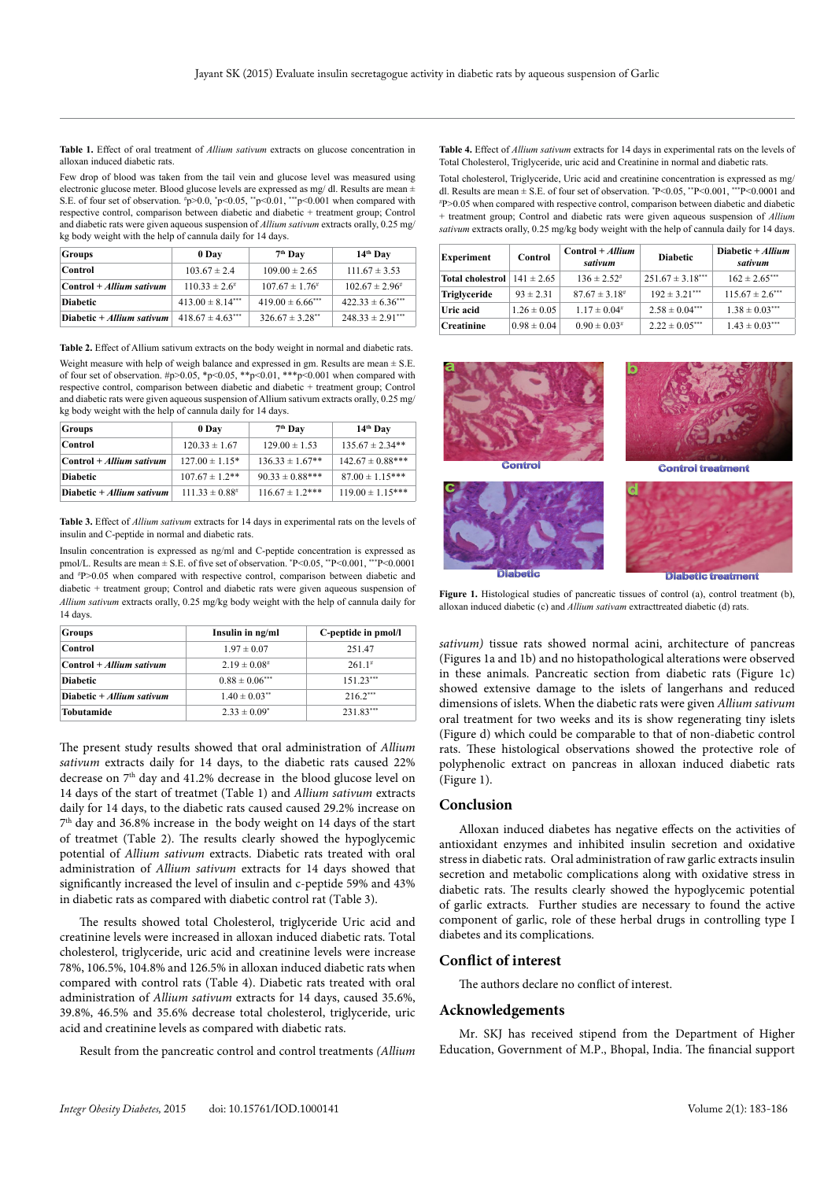**Table 1.** Effect of oral treatment of *Allium sativum* extracts on glucose concentration in alloxan induced diabetic rats.

Few drop of blood was taken from the tail vein and glucose level was measured using electronic glucose meter. Blood glucose levels are expressed as mg/ dl. Results are mean ± S.E. of four set of observation.  $\sharp p > 0.0$ ,  $\sharp p < 0.05$ ,  $\sharp p < 0.01$ ,  $\sharp \sharp p < 0.001$  when compared with respective control, comparison between diabetic and diabetic + treatment group; Control and diabetic rats were given aqueous suspension of *Allium sativum* extracts orally, 0.25 mg/ kg body weight with the help of cannula daily for 14 days.

| <b>Groups</b>              | 0 Day                 | $7th$ Day              | 14th Day               |
|----------------------------|-----------------------|------------------------|------------------------|
| Control                    | $103.67 \pm 2.4$      | $109.00 \pm 2.65$      | $111.67 \pm 3.53$      |
| $Control + Allium sativum$ | $110.33 \pm 2.6^{\#}$ | $107.67 \pm 1.76^{\#}$ | $102.67 \pm 2.96^{\#}$ |
| <b>Diabetic</b>            | $413.00 \pm 8.14***$  | $419.00 \pm 6.66$ ***  | $422.33 \pm 6.36***$   |
| Diabetic + Allium sativum  | $418.67 \pm 4.63***$  | $326.67 \pm 3.28$ **   | $248.33 \pm 2.91***$   |

**Table 2.** Effect of Allium sativum extracts on the body weight in normal and diabetic rats.

Weight measure with help of weigh balance and expressed in gm. Results are mean  $\pm$  S.E. of four set of observation.  $\#p>0.05$ ,  $\#p<0.05$ ,  $\#p<0.01$ ,  $\#*\#p<0.001$  when compared with respective control, comparison between diabetic and diabetic + treatment group; Control and diabetic rats were given aqueous suspension of Allium sativum extracts orally, 0.25 mg/ kg body weight with the help of cannula daily for 14 days.

| <b>Groups</b>               | 0 Day               | 7 <sup>th</sup> Day  | 14 <sup>th</sup> Day  |
|-----------------------------|---------------------|----------------------|-----------------------|
| Control                     | $120.33 \pm 1.67$   | $129.00 \pm 1.53$    | $135.67 \pm 2.34**$   |
| $Control + Allium sativum$  | $127.00 \pm 1.15*$  | $136.33 \pm 1.67**$  | $142.67 \pm 0.88$ *** |
| <b>Diabetic</b>             | $107.67 \pm 1.2$ ** | $90.33 \pm 0.88***$  | $87.00 \pm 1.15***$   |
| Diabetic $+$ Allium sativum | $111.33 \pm 0.88$ # | $116.67 \pm 1.2$ *** | $119.00 \pm 1.15***$  |

**Table 3.** Effect of *Allium sativum* extracts for 14 days in experimental rats on the levels of insulin and C-peptide in normal and diabetic rats.

Insulin concentration is expressed as ng/ml and C-peptide concentration is expressed as pmol/L. Results are mean ± S.E. of five set of observation. \* P<0.05, \*\*P<0.001, \*\*\*P<0.0001 and # P>0.05 when compared with respective control, comparison between diabetic and diabetic + treatment group; Control and diabetic rats were given aqueous suspension of *Allium sativum* extracts orally, 0.25 mg/kg body weight with the help of cannula daily for 14 days.

| <b>Groups</b>               | Insulin in ng/ml              | C-peptide in pmol/l |
|-----------------------------|-------------------------------|---------------------|
| Control                     | $1.97 \pm 0.07$               | 251.47              |
| $Control + Allium sativum$  | $2.19 \pm 0.08$ #             | $2611$ <sup>#</sup> |
| <b>Diabetic</b>             | $0.88 \pm 0.06***$            | $15123***$          |
| Diabetic $+$ Allium sativum | $1.40 \pm 0.03$ <sup>**</sup> | $216.2***$          |
| Tobutamide                  | $2.33 \pm 0.09^*$             | 231.83***           |

The present study results showed that oral administration of *Allium sativum* extracts daily for 14 days, to the diabetic rats caused 22% decrease on 7<sup>th</sup> day and 41.2% decrease in the blood glucose level on 14 days of the start of treatmet (Table 1) and *Allium sativum* extracts daily for 14 days, to the diabetic rats caused caused 29.2% increase on 7th day and 36.8% increase in the body weight on 14 days of the start of treatmet (Table 2). The results clearly showed the hypoglycemic potential of *Allium sativum* extracts. Diabetic rats treated with oral administration of *Allium sativum* extracts for 14 days showed that significantly increased the level of insulin and c-peptide 59% and 43% in diabetic rats as compared with diabetic control rat (Table 3).

The results showed total Cholesterol, triglyceride Uric acid and creatinine levels were increased in alloxan induced diabetic rats. Total cholesterol, triglyceride, uric acid and creatinine levels were increase 78%, 106.5%, 104.8% and 126.5% in alloxan induced diabetic rats when compared with control rats (Table 4). Diabetic rats treated with oral administration of *Allium sativum* extracts for 14 days, caused 35.6%, 39.8%, 46.5% and 35.6% decrease total cholesterol, triglyceride, uric acid and creatinine levels as compared with diabetic rats.

Result from the pancreatic control and control treatments *(Allium* 

**Table 4.** Effect of *Allium sativum* extracts for 14 days in experimental rats on the levels of Total Cholesterol, Triglyceride, uric acid and Creatinine in normal and diabetic rats.

Total cholesterol, Triglyceride, Uric acid and creatinine concentration is expressed as mg/ dl. Results are mean  $\pm$  S.E. of four set of observation.  $P \le 0.05$ ,  $P \le 0.001$ ,  $P \le 0.0001$  and  $P \ge 0.05$  when compared with respective control, comparison between diabetic and diabetic P>0.05 when compared with respective control, comparison between diabetic and diabetic + treatment group; Control and diabetic rats were given aqueous suspension of *Allium sativum* extracts orally, 0.25 mg/kg body weight with the help of cannula daily for 14 days.

| <b>Experiment</b>                      | Control         | $Control + Allium$<br>sativum | <b>Diabetic</b>      | Diabetic + Allium<br>sativum |
|----------------------------------------|-----------------|-------------------------------|----------------------|------------------------------|
| <b>Total cholestrol</b> $141 \pm 2.65$ |                 | $136 \pm 2.52^{\#}$           | $251.67 \pm 3.18***$ | $162 \pm 2.65***$            |
| Triglyceride                           | $93 \pm 2.31$   | $87.67 \pm 3.18$ <sup>#</sup> | $192 \pm 3.21***$    | $115.67 \pm 2.6***$          |
| Uric acid                              | $1.26 \pm 0.05$ | $1.17 \pm 0.04$ #             | $2.58 \pm 0.04***$   | $1.38 \pm 0.03***$           |
| <b>Creatinine</b>                      | $0.98 \pm 0.04$ | $0.90 \pm 0.03$ #             | $2.22 \pm 0.05***$   | $1.43 \pm 0.03***$           |



**Figure 1.** Histological studies of pancreatic tissues of control (a), control treatment (b), alloxan induced diabetic (c) and *Allium sativam* extracttreated diabetic (d) rats.

*sativum)* tissue rats showed normal acini, architecture of pancreas (Figures 1a and 1b) and no histopathological alterations were observed in these animals. Pancreatic section from diabetic rats (Figure 1c) showed extensive damage to the islets of langerhans and reduced dimensions of islets. When the diabetic rats were given *Allium sativum* oral treatment for two weeks and its is show regenerating tiny islets (Figure d) which could be comparable to that of non-diabetic control rats. These histological observations showed the protective role of polyphenolic extract on pancreas in alloxan induced diabetic rats (Figure 1).

#### **Conclusion**

Alloxan induced diabetes has negative effects on the activities of antioxidant enzymes and inhibited insulin secretion and oxidative stress in diabetic rats. Oral administration of raw garlic extracts insulin secretion and metabolic complications along with oxidative stress in diabetic rats. The results clearly showed the hypoglycemic potential of garlic extracts. Further studies are necessary to found the active component of garlic, role of these herbal drugs in controlling type I diabetes and its complications.

# **Conflict of interest**

The authors declare no conflict of interest.

#### **Acknowledgements**

Mr. SKJ has received stipend from the Department of Higher Education, Government of M.P., Bhopal, India. The financial support